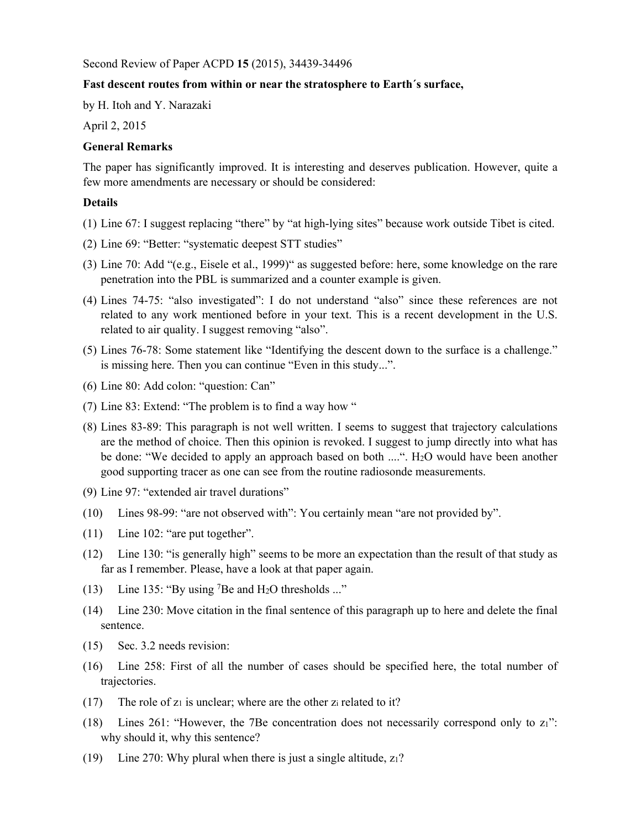Second Review of Paper ACPD **15** (2015), 34439-34496

## **Fast descent routes from within or near the stratosphere to Earth´s surface,**

by H. Itoh and Y. Narazaki

April 2, 2015

## **General Remarks**

The paper has significantly improved. It is interesting and deserves publication. However, quite a few more amendments are necessary or should be considered:

## **Details**

- (1) Line 67: I suggest replacing "there" by "at high-lying sites" because work outside Tibet is cited.
- (2) Line 69: "Better: "systematic deepest STT studies"
- (3) Line 70: Add "(e.g., Eisele et al., 1999)" as suggested before: here, some knowledge on the rare penetration into the PBL is summarized and a counter example is given.
- (4) Lines 74-75: "also investigated": I do not understand "also" since these references are not related to any work mentioned before in your text. This is a recent development in the U.S. related to air quality. I suggest removing "also".
- (5) Lines 76-78: Some statement like "Identifying the descent down to the surface is a challenge." is missing here. Then you can continue "Even in this study...".
- (6) Line 80: Add colon: "question: Can"
- (7) Line 83: Extend: "The problem is to find a way how "
- (8) Lines 83-89: This paragraph is not well written. I seems to suggest that trajectory calculations are the method of choice. Then this opinion is revoked. I suggest to jump directly into what has be done: "We decided to apply an approach based on both ....". H<sub>2</sub>O would have been another good supporting tracer as one can see from the routine radiosonde measurements.
- (9) Line 97: "extended air travel durations"
- (10) Lines 98-99: "are not observed with": You certainly mean "are not provided by".
- (11) Line 102: "are put together".
- (12) Line 130: "is generally high" seems to be more an expectation than the result of that study as far as I remember. Please, have a look at that paper again.
- (13) Line 135: "By using 7Be and H2O thresholds ..."
- (14) Line 230: Move citation in the final sentence of this paragraph up to here and delete the final sentence.
- (15) Sec. 3.2 needs revision:
- (16) Line 258: First of all the number of cases should be specified here, the total number of trajectories.
- (17) The role of  $z_1$  is unclear; where are the other  $z_i$  related to it?
- (18) Lines 261: "However, the 7Be concentration does not necessarily correspond only to z1": why should it, why this sentence?
- (19) Line 270: Why plural when there is just a single altitude, z1?